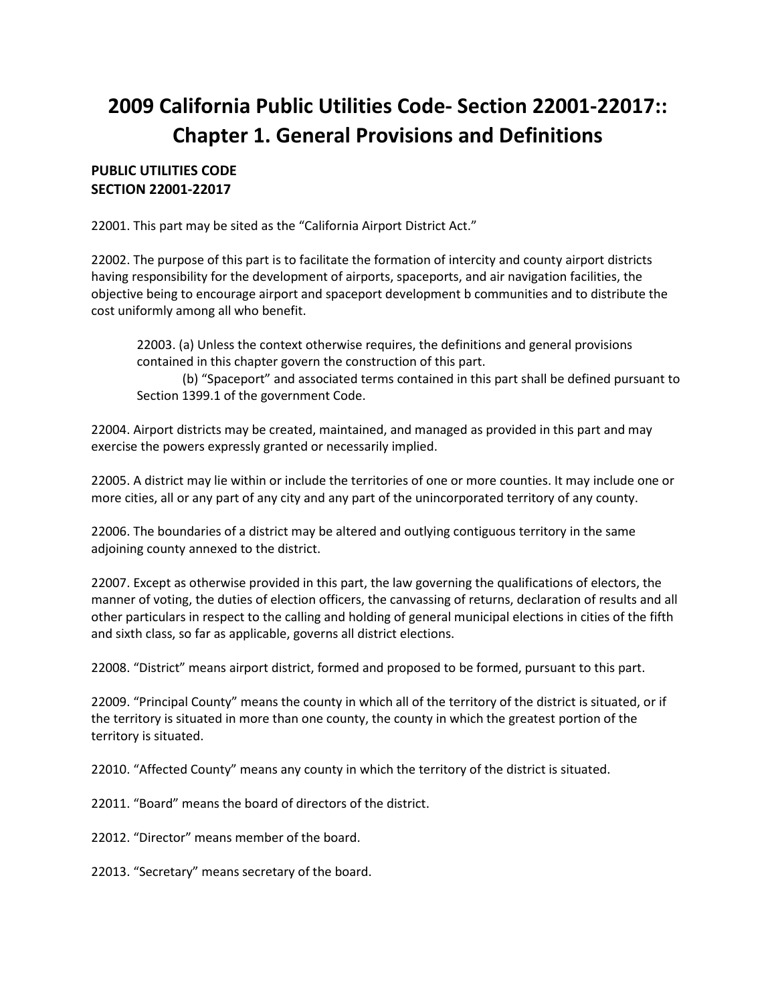## **2009 California Public Utilities Code- Section 22001-22017:: Chapter 1. General Provisions and Definitions**

## **PUBLIC UTILITIES CODE SECTION 22001-22017**

22001. This part may be sited as the "California Airport District Act."

22002. The purpose of this part is to facilitate the formation of intercity and county airport districts having responsibility for the development of airports, spaceports, and air navigation facilities, the objective being to encourage airport and spaceport development b communities and to distribute the cost uniformly among all who benefit.

22003. (a) Unless the context otherwise requires, the definitions and general provisions contained in this chapter govern the construction of this part.

(b) "Spaceport" and associated terms contained in this part shall be defined pursuant to Section 1399.1 of the government Code.

22004. Airport districts may be created, maintained, and managed as provided in this part and may exercise the powers expressly granted or necessarily implied.

22005. A district may lie within or include the territories of one or more counties. It may include one or more cities, all or any part of any city and any part of the unincorporated territory of any county.

22006. The boundaries of a district may be altered and outlying contiguous territory in the same adjoining county annexed to the district.

22007. Except as otherwise provided in this part, the law governing the qualifications of electors, the manner of voting, the duties of election officers, the canvassing of returns, declaration of results and all other particulars in respect to the calling and holding of general municipal elections in cities of the fifth and sixth class, so far as applicable, governs all district elections.

22008. "District" means airport district, formed and proposed to be formed, pursuant to this part.

22009. "Principal County" means the county in which all of the territory of the district is situated, or if the territory is situated in more than one county, the county in which the greatest portion of the territory is situated.

22010. "Affected County" means any county in which the territory of the district is situated.

22011. "Board" means the board of directors of the district.

22012. "Director" means member of the board.

22013. "Secretary" means secretary of the board.